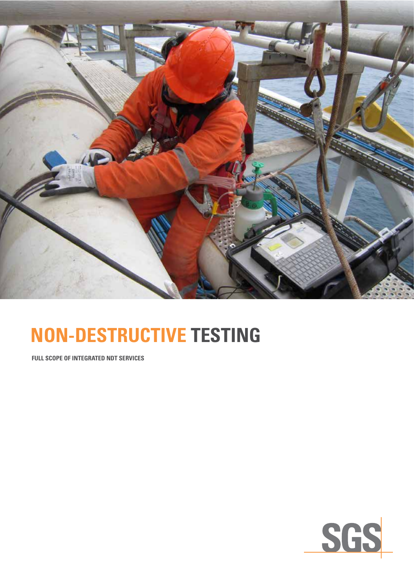

# **NON-DESTRUCTIVE TESTING**

**FULL SCOPE OF INTEGRATED NDT SERVICES**

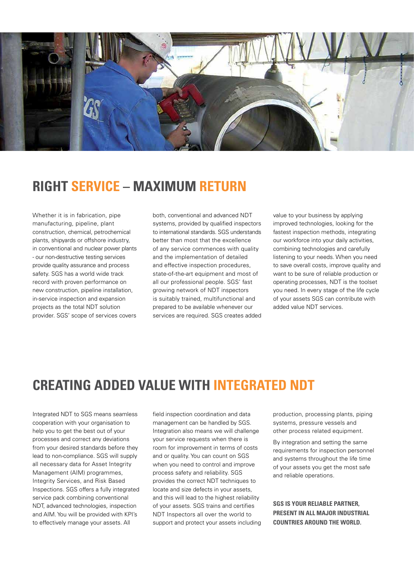

## **RIGHT SERVICE – MAXIMUM RETURN**

Whether it is in fabrication, pipe manufacturing, pipeline, plant construction, chemical, petrochemical plants, shipyards or offshore industry, in conventional and nuclear power plants - our non-destructive testing services provide quality assurance and process safety. SGS has a world wide track record with proven performance on new construction, pipeline installation, in-service inspection and expansion projects as the total NDT solution provider. SGS' scope of services covers both, conventional and advanced NDT systems, provided by qualified inspectors to international standards. SGS understands better than most that the excellence of any service commences with quality and the implementation of detailed and effective inspection procedures, state-of-the-art equipment and most of all our professional people. SGS' fast growing network of NDT inspectors is suitably trained, multifunctional and prepared to be available whenever our services are required. SGS creates added

value to your business by applying improved technologies, looking for the fastest inspection methods, integrating our workforce into your daily activities, combining technologies and carefully listening to your needs. When you need to save overall costs, improve quality and want to be sure of reliable production or operating processes, NDT is the toolset you need. In every stage of the life cycle of your assets SGS can contribute with added value NDT services.

## **CREATING ADDED VALUE WITH INTEGRATED NDT**

Integrated NDT to SGS means seamless cooperation with your organisation to help you to get the best out of your processes and correct any deviations from your desired standards before they lead to non-compliance. SGS will supply all necessary data for Asset Integrity Management (AIM) programmes, Integrity Services, and Risk Based Inspections. SGS offers a fully integrated service pack combining conventional NDT, advanced technologies, inspection and AIM. You will be provided with KPI's to effectively manage your assets. All

field inspection coordination and data management can be handled by SGS. Integration also means we will challenge your service requests when there is room for improvement in terms of costs and or quality. You can count on SGS when you need to control and improve process safety and reliability. SGS provides the correct NDT techniques to locate and size defects in your assets, and this will lead to the highest reliability of your assets. SGS trains and certifies NDT Inspectors all over the world to support and protect your assets including production, processing plants, piping systems, pressure vessels and other process related equipment.

By integration and setting the same requirements for inspection personnel and systems throughout the life time of your assets you get the most safe and reliable operations.

**SGS IS YOUR RELIABLE PARTNER, PRESENT IN ALL MAJOR INDUSTRIAL COUNTRIES AROUND THE WORLD.**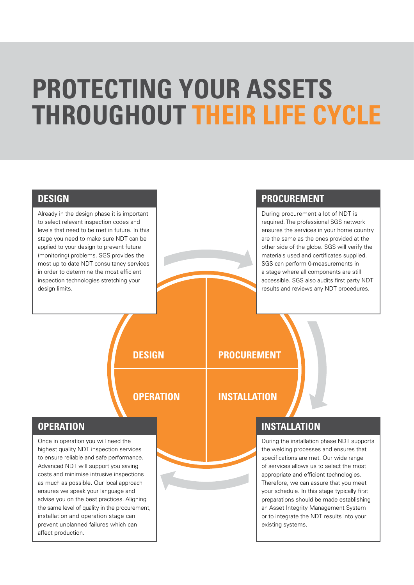# **PROTECTING YOUR ASSETS THROUGHOUT THEIR LIFE CYCLE**

#### **DESIGN**

Already in the design phase it is important to select relevant inspection codes and levels that need to be met in future. In this stage you need to make sure NDT can be applied to your design to prevent future (monitoring) problems. SGS provides the most up to date NDT consultancy services in order to determine the most efficient inspection technologies stretching your design limits.

### **PROCUREMENT**

During procurement a lot of NDT is required. The professional SGS network ensures the services in your home country are the same as the ones provided at the other side of the globe. SGS will verify the materials used and certificates supplied. SGS can perform 0-measurements in a stage where all components are still accessible. SGS also audits first party NDT results and reviews any NDT procedures.

**DESIGN**

# **PROCUREMENT**

## **OPERATION**

## **INSTALLATION**

#### **OPERATION**

Once in operation you will need the highest quality NDT inspection services to ensure reliable and safe performance. Advanced NDT will support you saving costs and minimise intrusive inspections as much as possible. Our local approach ensures we speak your language and advise you on the best practices. Aligning the same level of quality in the procurement, installation and operation stage can prevent unplanned failures which can affect production.

## **INSTALLATION**

During the installation phase NDT supports the welding processes and ensures that specifications are met. Our wide range of services allows us to select the most appropriate and efficient technologies. Therefore, we can assure that you meet your schedule. In this stage typically first preparations should be made establishing an Asset Integrity Management System or to integrate the NDT results into your existing systems.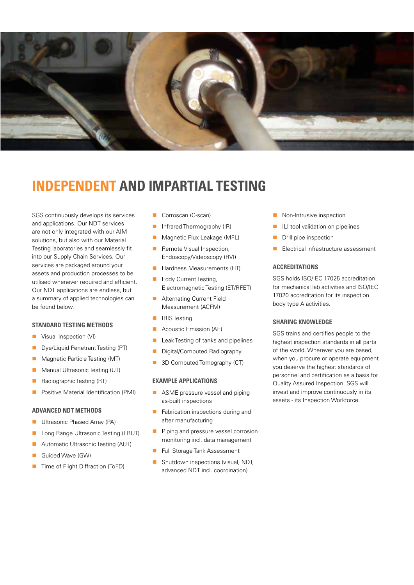

## **INDEPENDENT AND IMPARTIAL TESTING**

SGS continuously develops its services and applications. Our NDT services are not only integrated with our AIM solutions, but also with our Material Testing laboratories and seamlessly fit into our Supply Chain Services. Our services are packaged around your assets and production processes to be utilised whenever required and efficient. Our NDT applications are endless, but a summary of applied technologies can be found below.

#### **STANDARD TESTING METHODS**

- **No Visual Inspection (VI)**
- **n** Dye/Liquid Penetrant Testing (PT)
- Magnetic Particle Testing (MT)
- Manual Ultrasonic Testing (UT)
- **n** Radiographic Testing (RT)
- Positive Material Identification (PMI)

#### **ADVANCED NDT METHODS**

- Ultrasonic Phased Array (PA)
- **n** Long Range Ultrasonic Testing (LRUT)
- Automatic Ultrasonic Testing (AUT)
- Guided Wave (GW)
- Time of Flight Diffraction (ToFD)
- Corroscan (C-scan)
- n Infrared Thermography (IR)
- **n** Magnetic Flux Leakage (MFL)
- **n** Remote Visual Inspection, Endoscopy/Videoscopy (RVI)
- **n** Hardness Measurements (HT)
- **n** Eddy Current Testing Electromagnetic Testing (ET/RFET)
- **n** Alternating Current Field Measurement (ACFM)
- **IRIS Testing**
- Acoustic Emission (AE)
- Leak Testing of tanks and pipelines
- Digital/Computed Radiography
- 3D Computed Tomography (CT)

#### **EXAMPLE APPLICATIONS**

- **n** ASME pressure vessel and piping as-built inspections
- **n** Fabrication inspections during and after manufacturing
- **n** Piping and pressure vessel corrosion monitoring incl. data management
- Full Storage Tank Assessment
- Shutdown inspections (visual, NDT, advanced NDT incl. coordination)
- Non-Intrusive inspection
- ILI tool validation on pipelines
- $\blacksquare$  Drill pipe inspection
- Electrical infrastructure assessment

#### **ACCREDITATIONS**

SGS holds ISO/IEC 17025 accreditation for mechanical lab activities and ISO/IEC 17020 accreditation for its inspection body type A activities.

#### **SHARING KNOWLEDGE**

SGS trains and certifies people to the highest inspection standards in all parts of the world. Wherever you are based, when you procure or operate equipment you deserve the highest standards of personnel and certification as a basis for Quality Assured Inspection. SGS will invest and improve continuously in its assets - its Inspection Workforce.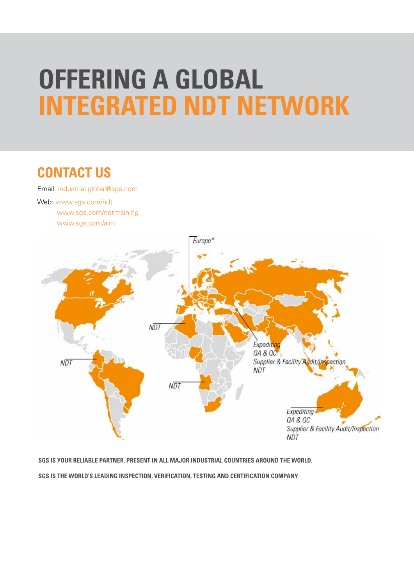# **OFFERING A GLOBAL INTEGRATED NDT NETWORK**

# **CONTACT US**

Email: [industrial.global@sgs.com](mailto:industrial.global%40sgs.com?subject=)

Web: [www.sgs.com/ndt](http://www.sgs.com/ndt) [www.sgs.com/ndt-training](http://www.sgs.com/ndt-training) [www.sgs.com/aim](http://www.sgs.com/aim)



**SGS IS YOUR RELIABLE PARTNER, PRESENT IN ALL MAJOR INDUSTRIAL COUNTRIES AROUND THE WORLD. SGS is the world's leading inspection, verification, testing and certification company**